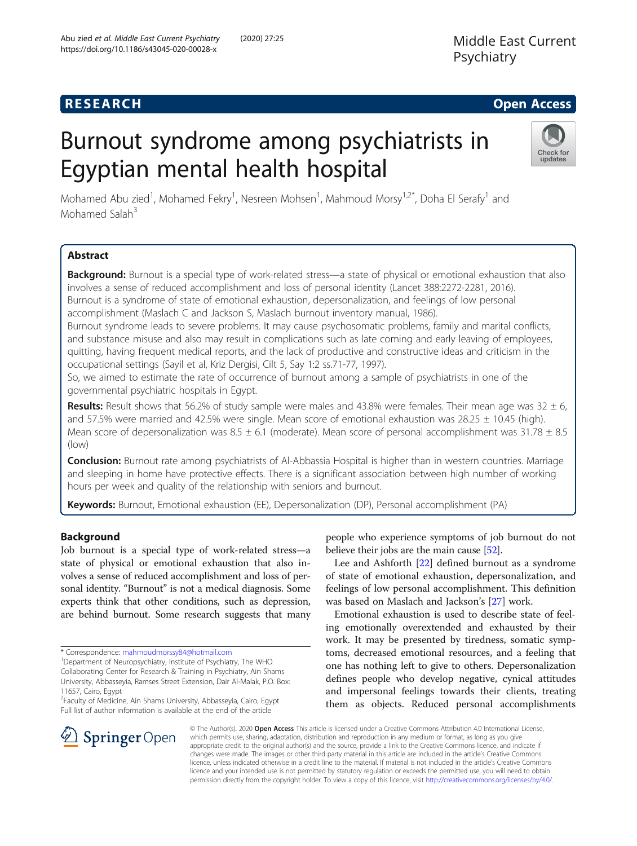## **RESEARCH CHE Open Access**

# Burnout syndrome among psychiatrists in Egyptian mental health hospital



Mohamed Abu zied<sup>1</sup>, Mohamed Fekry<sup>1</sup>, Nesreen Mohsen<sup>1</sup>, Mahmoud Morsy<sup>1,2\*</sup>, Doha El Serafy<sup>1</sup> and Mohamed Salah<sup>3</sup>

## Abstract

Background: Burnout is a special type of work-related stress—a state of physical or emotional exhaustion that also involves a sense of reduced accomplishment and loss of personal identity (Lancet 388:2272-2281, 2016). Burnout is a syndrome of state of emotional exhaustion, depersonalization, and feelings of low personal accomplishment (Maslach C and Jackson S, Maslach burnout inventory manual, 1986).

Burnout syndrome leads to severe problems. It may cause psychosomatic problems, family and marital conflicts, and substance misuse and also may result in complications such as late coming and early leaving of employees, quitting, having frequent medical reports, and the lack of productive and constructive ideas and criticism in the occupational settings (Sayil et al, Kriz Dergisi, Cilt 5, Say 1:2 ss.71-77, 1997).

So, we aimed to estimate the rate of occurrence of burnout among a sample of psychiatrists in one of the governmental psychiatric hospitals in Egypt.

**Results:** Result shows that 56.2% of study sample were males and 43.8% were females. Their mean age was  $32 \pm 6$ , and 57.5% were married and 42.5% were single. Mean score of emotional exhaustion was  $28.25 \pm 10.45$  (high). Mean score of depersonalization was  $8.5 \pm 6.1$  (moderate). Mean score of personal accomplishment was  $31.78 \pm 8.5$ (low)

Conclusion: Burnout rate among psychiatrists of Al-Abbassia Hospital is higher than in western countries. Marriage and sleeping in home have protective effects. There is a significant association between high number of working hours per week and quality of the relationship with seniors and burnout.

Keywords: Burnout, Emotional exhaustion (EE), Depersonalization (DP), Personal accomplishment (PA)

## Background

Job burnout is a special type of work-related stress—a state of physical or emotional exhaustion that also involves a sense of reduced accomplishment and loss of personal identity. "Burnout" is not a medical diagnosis. Some experts think that other conditions, such as depression, are behind burnout. Some research suggests that many

11657, Cairo, Egypt

2 Faculty of Medicine, Ain Shams University, Abbasseyia, Cairo, Egypt Full list of author information is available at the end of the article

people who experience symptoms of job burnout do not believe their jobs are the main cause [\[52\]](#page-9-0).

Lee and Ashforth [\[22\]](#page-9-0) defined burnout as a syndrome of state of emotional exhaustion, depersonalization, and feelings of low personal accomplishment. This definition was based on Maslach and Jackson's [[27\]](#page-9-0) work.

Emotional exhaustion is used to describe state of feeling emotionally overextended and exhausted by their work. It may be presented by tiredness, somatic symptoms, decreased emotional resources, and a feeling that one has nothing left to give to others. Depersonalization defines people who develop negative, cynical attitudes and impersonal feelings towards their clients, treating them as objects. Reduced personal accomplishments



© The Author(s). 2020 Open Access This article is licensed under a Creative Commons Attribution 4.0 International License, which permits use, sharing, adaptation, distribution and reproduction in any medium or format, as long as you give appropriate credit to the original author(s) and the source, provide a link to the Creative Commons licence, and indicate if changes were made. The images or other third party material in this article are included in the article's Creative Commons licence, unless indicated otherwise in a credit line to the material. If material is not included in the article's Creative Commons licence and your intended use is not permitted by statutory regulation or exceeds the permitted use, you will need to obtain permission directly from the copyright holder. To view a copy of this licence, visit <http://creativecommons.org/licenses/by/4.0/>.

<sup>\*</sup> Correspondence: [mahmoudmorssy84@hotmail.com](mailto:mahmoudmorssy84@hotmail.com) <sup>1</sup>

<sup>&</sup>lt;sup>1</sup>Department of Neuropsychiatry, Institute of Psychiatry, The WHO Collaborating Center for Research & Training in Psychiatry, Ain Shams University, Abbasseyia, Ramses Street Extension, Dair Al-Malak, P.O. Box: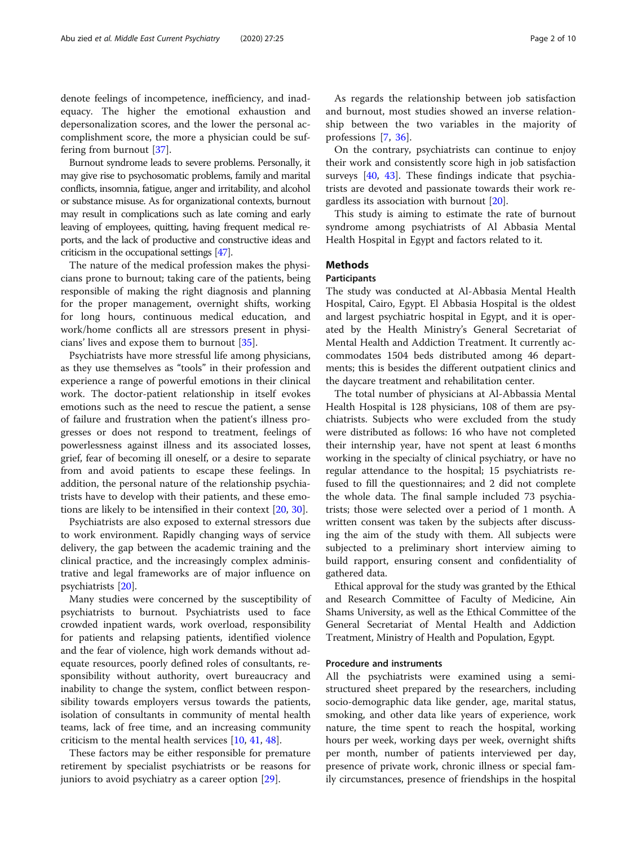denote feelings of incompetence, inefficiency, and inadequacy. The higher the emotional exhaustion and depersonalization scores, and the lower the personal accomplishment score, the more a physician could be suffering from burnout [\[37](#page-9-0)].

Burnout syndrome leads to severe problems. Personally, it may give rise to psychosomatic problems, family and marital conflicts, insomnia, fatigue, anger and irritability, and alcohol or substance misuse. As for organizational contexts, burnout may result in complications such as late coming and early leaving of employees, quitting, having frequent medical reports, and the lack of productive and constructive ideas and criticism in the occupational settings [[47\]](#page-9-0).

The nature of the medical profession makes the physicians prone to burnout; taking care of the patients, being responsible of making the right diagnosis and planning for the proper management, overnight shifts, working for long hours, continuous medical education, and work/home conflicts all are stressors present in physicians' lives and expose them to burnout [[35\]](#page-9-0).

Psychiatrists have more stressful life among physicians, as they use themselves as "tools" in their profession and experience a range of powerful emotions in their clinical work. The doctor-patient relationship in itself evokes emotions such as the need to rescue the patient, a sense of failure and frustration when the patient's illness progresses or does not respond to treatment, feelings of powerlessness against illness and its associated losses, grief, fear of becoming ill oneself, or a desire to separate from and avoid patients to escape these feelings. In addition, the personal nature of the relationship psychiatrists have to develop with their patients, and these emotions are likely to be intensified in their context [[20,](#page-9-0) [30\]](#page-9-0).

Psychiatrists are also exposed to external stressors due to work environment. Rapidly changing ways of service delivery, the gap between the academic training and the clinical practice, and the increasingly complex administrative and legal frameworks are of major influence on psychiatrists [[20\]](#page-9-0).

Many studies were concerned by the susceptibility of psychiatrists to burnout. Psychiatrists used to face crowded inpatient wards, work overload, responsibility for patients and relapsing patients, identified violence and the fear of violence, high work demands without adequate resources, poorly defined roles of consultants, responsibility without authority, overt bureaucracy and inability to change the system, conflict between responsibility towards employers versus towards the patients, isolation of consultants in community of mental health teams, lack of free time, and an increasing community criticism to the mental health services [[10,](#page-9-0) [41](#page-9-0), [48](#page-9-0)].

These factors may be either responsible for premature retirement by specialist psychiatrists or be reasons for juniors to avoid psychiatry as a career option [\[29](#page-9-0)].

As regards the relationship between job satisfaction and burnout, most studies showed an inverse relationship between the two variables in the majority of professions [[7,](#page-9-0) [36\]](#page-9-0).

On the contrary, psychiatrists can continue to enjoy their work and consistently score high in job satisfaction surveys [[40,](#page-9-0) [43\]](#page-9-0). These findings indicate that psychiatrists are devoted and passionate towards their work regardless its association with burnout [\[20](#page-9-0)].

This study is aiming to estimate the rate of burnout syndrome among psychiatrists of Al Abbasia Mental Health Hospital in Egypt and factors related to it.

## **Methods**

#### **Participants**

The study was conducted at Al-Abbasia Mental Health Hospital, Cairo, Egypt. El Abbasia Hospital is the oldest and largest psychiatric hospital in Egypt, and it is operated by the Health Ministry's General Secretariat of Mental Health and Addiction Treatment. It currently accommodates 1504 beds distributed among 46 departments; this is besides the different outpatient clinics and the daycare treatment and rehabilitation center.

The total number of physicians at Al-Abbassia Mental Health Hospital is 128 physicians, 108 of them are psychiatrists. Subjects who were excluded from the study were distributed as follows: 16 who have not completed their internship year, have not spent at least 6 months working in the specialty of clinical psychiatry, or have no regular attendance to the hospital; 15 psychiatrists refused to fill the questionnaires; and 2 did not complete the whole data. The final sample included 73 psychiatrists; those were selected over a period of 1 month. A written consent was taken by the subjects after discussing the aim of the study with them. All subjects were subjected to a preliminary short interview aiming to build rapport, ensuring consent and confidentiality of gathered data.

Ethical approval for the study was granted by the Ethical and Research Committee of Faculty of Medicine, Ain Shams University, as well as the Ethical Committee of the General Secretariat of Mental Health and Addiction Treatment, Ministry of Health and Population, Egypt.

### Procedure and instruments

All the psychiatrists were examined using a semistructured sheet prepared by the researchers, including socio-demographic data like gender, age, marital status, smoking, and other data like years of experience, work nature, the time spent to reach the hospital, working hours per week, working days per week, overnight shifts per month, number of patients interviewed per day, presence of private work, chronic illness or special family circumstances, presence of friendships in the hospital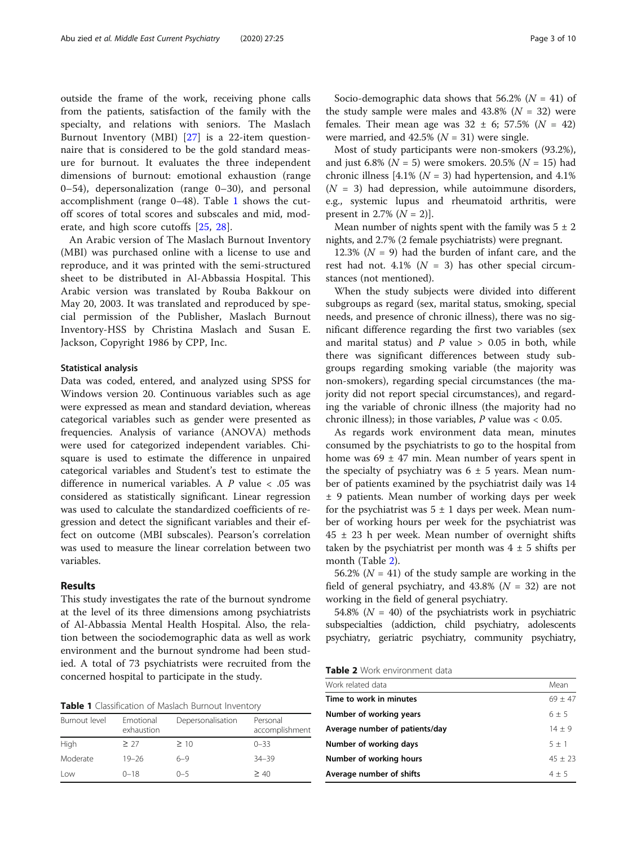outside the frame of the work, receiving phone calls from the patients, satisfaction of the family with the specialty, and relations with seniors. The Maslach Burnout Inventory (MBI) [[27\]](#page-9-0) is a 22-item questionnaire that is considered to be the gold standard measure for burnout. It evaluates the three independent dimensions of burnout: emotional exhaustion (range 0–54), depersonalization (range 0–30), and personal accomplishment (range 0–48). Table 1 shows the cutoff scores of total scores and subscales and mid, moderate, and high score cutoffs [[25,](#page-9-0) [28\]](#page-9-0).

An Arabic version of The Maslach Burnout Inventory (MBI) was purchased online with a license to use and reproduce, and it was printed with the semi-structured sheet to be distributed in Al-Abbassia Hospital. This Arabic version was translated by Rouba Bakkour on May 20, 2003. It was translated and reproduced by special permission of the Publisher, Maslach Burnout Inventory-HSS by Christina Maslach and Susan E. Jackson, Copyright 1986 by CPP, Inc.

#### Statistical analysis

Data was coded, entered, and analyzed using SPSS for Windows version 20. Continuous variables such as age were expressed as mean and standard deviation, whereas categorical variables such as gender were presented as frequencies. Analysis of variance (ANOVA) methods were used for categorized independent variables. Chisquare is used to estimate the difference in unpaired categorical variables and Student's test to estimate the difference in numerical variables. A P value < .05 was considered as statistically significant. Linear regression was used to calculate the standardized coefficients of regression and detect the significant variables and their effect on outcome (MBI subscales). Pearson's correlation was used to measure the linear correlation between two variables.

#### Results

This study investigates the rate of the burnout syndrome at the level of its three dimensions among psychiatrists of Al-Abbassia Mental Health Hospital. Also, the relation between the sociodemographic data as well as work environment and the burnout syndrome had been studied. A total of 73 psychiatrists were recruited from the concerned hospital to participate in the study.

Table 1 Classification of Maslach Burnout Inventory

| Burnout level | Emotional<br>exhaustion | Depersonalisation | Personal<br>accomplishment |
|---------------|-------------------------|-------------------|----------------------------|
| High          | > 27                    | $\geq 10$         | $0 - 33$                   |
| Moderate      | $19 - 26$               | $6 - 9$           | $34 - 39$                  |
| Low           | $0 - 18$                | $0 - 5$           | > 40                       |

Socio-demographic data shows that 56.2% ( $N = 41$ ) of the study sample were males and  $43.8\%$  ( $N = 32$ ) were females. Their mean age was  $32 \pm 6$ ; 57.5% ( $N = 42$ ) were married, and  $42.5\%$  ( $N = 31$ ) were single.

Most of study participants were non-smokers (93.2%), and just 6.8% ( $N = 5$ ) were smokers. 20.5% ( $N = 15$ ) had chronic illness [4.1% ( $N = 3$ ) had hypertension, and 4.1%  $(N = 3)$  had depression, while autoimmune disorders, e.g., systemic lupus and rheumatoid arthritis, were present in 2.7%  $(N = 2)$ ].

Mean number of nights spent with the family was  $5 \pm 2$ nights, and 2.7% (2 female psychiatrists) were pregnant.

12.3% ( $N = 9$ ) had the burden of infant care, and the rest had not.  $4.1\%$  ( $N = 3$ ) has other special circumstances (not mentioned).

When the study subjects were divided into different subgroups as regard (sex, marital status, smoking, special needs, and presence of chronic illness), there was no significant difference regarding the first two variables (sex and marital status) and  $P$  value  $> 0.05$  in both, while there was significant differences between study subgroups regarding smoking variable (the majority was non-smokers), regarding special circumstances (the majority did not report special circumstances), and regarding the variable of chronic illness (the majority had no chronic illness); in those variables,  $P$  value was < 0.05.

As regards work environment data mean, minutes consumed by the psychiatrists to go to the hospital from home was  $69 \pm 47$  min. Mean number of years spent in the specialty of psychiatry was  $6 \pm 5$  years. Mean number of patients examined by the psychiatrist daily was 14 ± 9 patients. Mean number of working days per week for the psychiatrist was  $5 \pm 1$  days per week. Mean number of working hours per week for the psychiatrist was  $45 \pm 23$  h per week. Mean number of overnight shifts taken by the psychiatrist per month was  $4 \pm 5$  shifts per month (Table 2).

56.2% ( $N = 41$ ) of the study sample are working in the field of general psychiatry, and  $43.8\%$  ( $N = 32$ ) are not working in the field of general psychiatry.

54.8% ( $N = 40$ ) of the psychiatrists work in psychiatric subspecialties (addiction, child psychiatry, adolescents psychiatry, geriatric psychiatry, community psychiatry,

| Table 2 Work environment data |  |
|-------------------------------|--|
|-------------------------------|--|

| Work related data              | Mean      |
|--------------------------------|-----------|
| Time to work in minutes        | $69 + 47$ |
| Number of working years        | $6 + 5$   |
| Average number of patients/day | $14 + 9$  |
| Number of working days         | $5 + 1$   |
| Number of working hours        | $45 + 23$ |
| Average number of shifts       | $4 + 5$   |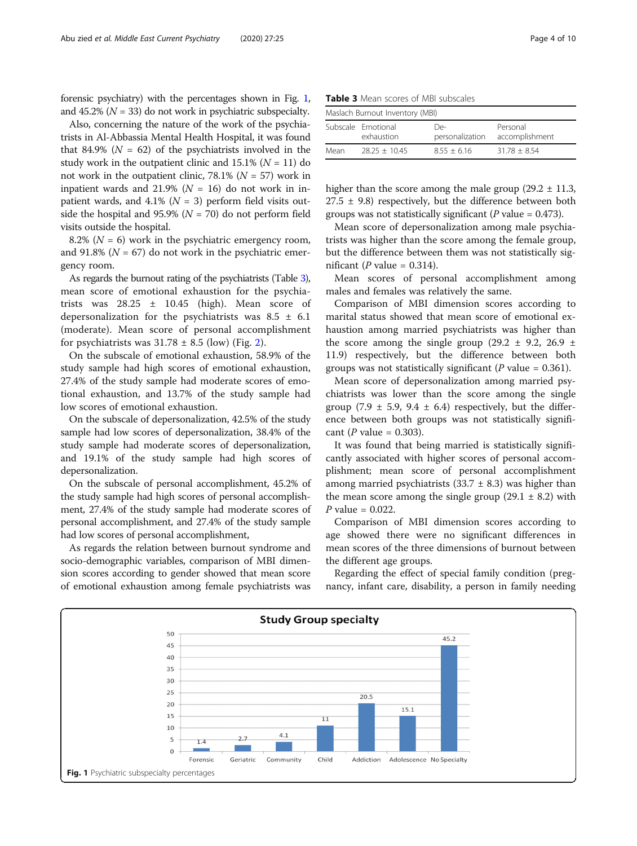forensic psychiatry) with the percentages shown in Fig. 1, and 45.2% ( $N = 33$ ) do not work in psychiatric subspecialty.

Also, concerning the nature of the work of the psychiatrists in Al-Abbassia Mental Health Hospital, it was found that 84.9% ( $N = 62$ ) of the psychiatrists involved in the study work in the outpatient clinic and  $15.1\%$  ( $N = 11$ ) do not work in the outpatient clinic, 78.1% ( $N = 57$ ) work in inpatient wards and 21.9% ( $N = 16$ ) do not work in inpatient wards, and 4.1% ( $N = 3$ ) perform field visits outside the hospital and 95.9% ( $N = 70$ ) do not perform field visits outside the hospital.

8.2% ( $N = 6$ ) work in the psychiatric emergency room, and 91.8% ( $N = 67$ ) do not work in the psychiatric emergency room.

As regards the burnout rating of the psychiatrists (Table 3), mean score of emotional exhaustion for the psychiatrists was  $28.25 \pm 10.45$  (high). Mean score of depersonalization for the psychiatrists was  $8.5 \pm 6.1$ (moderate). Mean score of personal accomplishment for psychiatrists was  $31.78 \pm 8.5$  (low) (Fig. [2\)](#page-4-0).

On the subscale of emotional exhaustion, 58.9% of the study sample had high scores of emotional exhaustion, 27.4% of the study sample had moderate scores of emotional exhaustion, and 13.7% of the study sample had low scores of emotional exhaustion.

On the subscale of depersonalization, 42.5% of the study sample had low scores of depersonalization, 38.4% of the study sample had moderate scores of depersonalization, and 19.1% of the study sample had high scores of depersonalization.

On the subscale of personal accomplishment, 45.2% of the study sample had high scores of personal accomplishment, 27.4% of the study sample had moderate scores of personal accomplishment, and 27.4% of the study sample had low scores of personal accomplishment,

As regards the relation between burnout syndrome and socio-demographic variables, comparison of MBI dimension scores according to gender showed that mean score of emotional exhaustion among female psychiatrists was

| <b>Table 3</b> Mean scores of MBI subscales |  |
|---------------------------------------------|--|
|---------------------------------------------|--|

| Maslach Burnout Inventory (MBI) |                                  |                        |                            |  |  |
|---------------------------------|----------------------------------|------------------------|----------------------------|--|--|
|                                 | Subscale Emotional<br>exhaustion | De-<br>personalization | Personal<br>accomplishment |  |  |
| Mean                            | $28.25 + 10.45$                  | $8.55 + 6.16$          | $31.78 + 8.54$             |  |  |

higher than the score among the male group  $(29.2 \pm 11.3,$  $27.5 \pm 9.8$ ) respectively, but the difference between both groups was not statistically significant ( $P$  value = 0.473).

Mean score of depersonalization among male psychiatrists was higher than the score among the female group, but the difference between them was not statistically significant (P value =  $0.314$ ).

Mean scores of personal accomplishment among males and females was relatively the same.

Comparison of MBI dimension scores according to marital status showed that mean score of emotional exhaustion among married psychiatrists was higher than the score among the single group  $(29.2 \pm 9.2, 26.9 \pm 1)$ 11.9) respectively, but the difference between both groups was not statistically significant ( $P$  value = 0.361).

Mean score of depersonalization among married psychiatrists was lower than the score among the single group (7.9  $\pm$  5.9, 9.4  $\pm$  6.4) respectively, but the difference between both groups was not statistically significant ( $P$  value = 0.303).

It was found that being married is statistically significantly associated with higher scores of personal accomplishment; mean score of personal accomplishment among married psychiatrists  $(33.7 \pm 8.3)$  was higher than the mean score among the single group  $(29.1 \pm 8.2)$  with  $P$  value = 0.022.

Comparison of MBI dimension scores according to age showed there were no significant differences in mean scores of the three dimensions of burnout between the different age groups.

Regarding the effect of special family condition (pregnancy, infant care, disability, a person in family needing

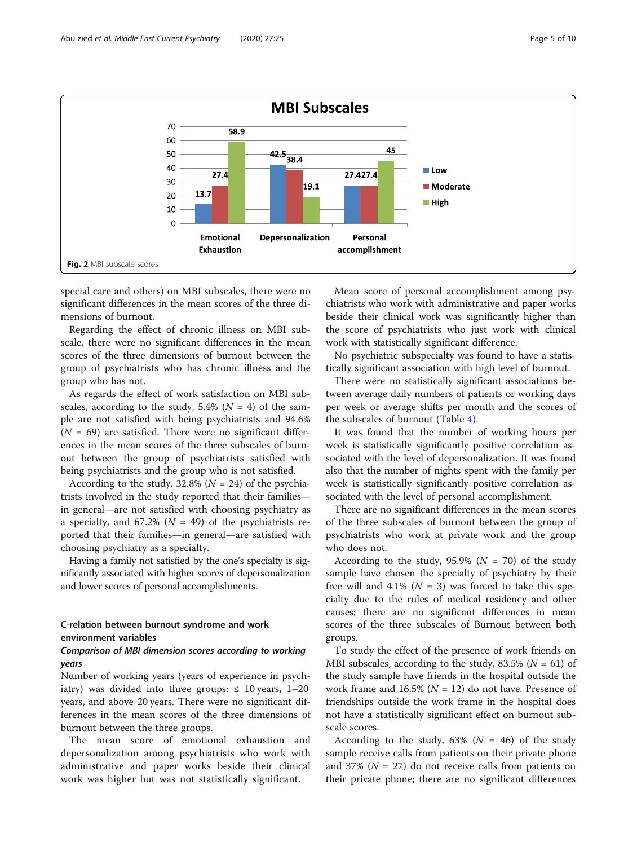<span id="page-4-0"></span>

special care and others) on MBI subscales, there were no significant differences in the mean scores of the three dimensions of burnout.

Regarding the effect of chronic illness on MBI subscale, there were no significant differences in the mean scores of the three dimensions of burnout between the group of psychiatrists who has chronic illness and the group who has not.

As regards the effect of work satisfaction on MBI subscales, according to the study, 5.4% ( $N = 4$ ) of the sample are not satisfied with being psychiatrists and 94.6%  $(N = 69)$  are satisfied. There were no significant differences in the mean scores of the three subscales of burnout between the group of psychiatrists satisfied with being psychiatrists and the group who is not satisfied.

According to the study, 32.8% ( $N = 24$ ) of the psychiatrists involved in the study reported that their families in general—are not satisfied with choosing psychiatry as a specialty, and 67.2% ( $N = 49$ ) of the psychiatrists reported that their families—in general—are satisfied with choosing psychiatry as a specialty.

Having a family not satisfied by the one's specialty is significantly associated with higher scores of depersonalization and lower scores of personal accomplishments.

## C-relation between burnout syndrome and work environment variables

## Comparison of MBI dimension scores according to working years

Number of working years (years of experience in psychiatry) was divided into three groups:  $\leq 10$  years, 1–20 years, and above 20 years. There were no significant differences in the mean scores of the three dimensions of burnout between the three groups.

The mean score of emotional exhaustion and depersonalization among psychiatrists who work with administrative and paper works beside their clinical work was higher but was not statistically significant.

Mean score of personal accomplishment among psychiatrists who work with administrative and paper works beside their clinical work was significantly higher than the score of psychiatrists who just work with clinical work with statistically significant difference.

No psychiatric subspecialty was found to have a statistically significant association with high level of burnout.

There were no statistically significant associations between average daily numbers of patients or working days per week or average shifts per month and the scores of the subscales of burnout (Table [4](#page-5-0)).

It was found that the number of working hours per week is statistically significantly positive correlation associated with the level of depersonalization. It was found also that the number of nights spent with the family per week is statistically significantly positive correlation associated with the level of personal accomplishment.

There are no significant differences in the mean scores of the three subscales of burnout between the group of psychiatrists who work at private work and the group who does not.

According to the study, 95.9% ( $N = 70$ ) of the study sample have chosen the specialty of psychiatry by their free will and 4.1% ( $N = 3$ ) was forced to take this specialty due to the rules of medical residency and other causes; there are no significant differences in mean scores of the three subscales of Burnout between both groups.

To study the effect of the presence of work friends on MBI subscales, according to the study, 83.5% ( $N = 61$ ) of the study sample have friends in the hospital outside the work frame and 16.5% ( $N = 12$ ) do not have. Presence of friendships outside the work frame in the hospital does not have a statistically significant effect on burnout subscale scores.

According to the study, 63% ( $N = 46$ ) of the study sample receive calls from patients on their private phone and 37% ( $N = 27$ ) do not receive calls from patients on their private phone; there are no significant differences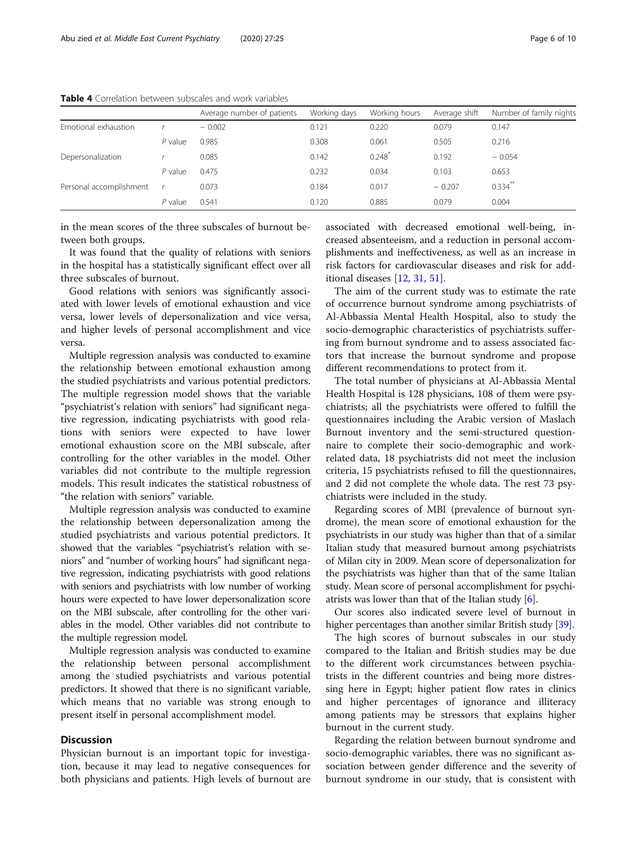|                         |           | Average number of patients | Working days | Working hours | Average shift | Number of family nights |
|-------------------------|-----------|----------------------------|--------------|---------------|---------------|-------------------------|
| Emotional exhaustion    |           | $-0.002$                   | 0.121        | 0.220         | 0.079         | 0.147                   |
|                         | $P$ value | 0.985                      | 0.308        | 0.061         | 0.505         | 0.216                   |
| Depersonalization       |           | 0.085                      | 0.142        | 0.248         | 0.192         | $-0.054$                |
|                         | $P$ value | 0.475                      | 0.232        | 0.034         | 0.103         | 0.653                   |
| Personal accomplishment |           | 0.073                      | 0.184        | 0.017         | $-0.207$      | $0.334$ <sup>**</sup>   |
|                         | $P$ value | 0.541                      | 0.120        | 0.885         | 0.079         | 0.004                   |

<span id="page-5-0"></span>Table 4 Correlation between subscales and work variables

in the mean scores of the three subscales of burnout between both groups.

It was found that the quality of relations with seniors in the hospital has a statistically significant effect over all three subscales of burnout.

Good relations with seniors was significantly associated with lower levels of emotional exhaustion and vice versa, lower levels of depersonalization and vice versa, and higher levels of personal accomplishment and vice versa.

Multiple regression analysis was conducted to examine the relationship between emotional exhaustion among the studied psychiatrists and various potential predictors. The multiple regression model shows that the variable "psychiatrist's relation with seniors" had significant negative regression, indicating psychiatrists with good relations with seniors were expected to have lower emotional exhaustion score on the MBI subscale, after controlling for the other variables in the model. Other variables did not contribute to the multiple regression models. This result indicates the statistical robustness of "the relation with seniors" variable.

Multiple regression analysis was conducted to examine the relationship between depersonalization among the studied psychiatrists and various potential predictors. It showed that the variables "psychiatrist's relation with seniors" and "number of working hours" had significant negative regression, indicating psychiatrists with good relations with seniors and psychiatrists with low number of working hours were expected to have lower depersonalization score on the MBI subscale, after controlling for the other variables in the model. Other variables did not contribute to the multiple regression model.

Multiple regression analysis was conducted to examine the relationship between personal accomplishment among the studied psychiatrists and various potential predictors. It showed that there is no significant variable, which means that no variable was strong enough to present itself in personal accomplishment model.

#### **Discussion**

Physician burnout is an important topic for investigation, because it may lead to negative consequences for both physicians and patients. High levels of burnout are associated with decreased emotional well-being, increased absenteeism, and a reduction in personal accomplishments and ineffectiveness, as well as an increase in risk factors for cardiovascular diseases and risk for additional diseases [[12,](#page-9-0) [31,](#page-9-0) [51](#page-9-0)].

The aim of the current study was to estimate the rate of occurrence burnout syndrome among psychiatrists of Al-Abbassia Mental Health Hospital, also to study the socio-demographic characteristics of psychiatrists suffering from burnout syndrome and to assess associated factors that increase the burnout syndrome and propose different recommendations to protect from it.

The total number of physicians at Al-Abbassia Mental Health Hospital is 128 physicians, 108 of them were psychiatrists; all the psychiatrists were offered to fulfill the questionnaires including the Arabic version of Maslach Burnout inventory and the semi-structured questionnaire to complete their socio-demographic and workrelated data, 18 psychiatrists did not meet the inclusion criteria, 15 psychiatrists refused to fill the questionnaires, and 2 did not complete the whole data. The rest 73 psychiatrists were included in the study.

Regarding scores of MBI (prevalence of burnout syndrome), the mean score of emotional exhaustion for the psychiatrists in our study was higher than that of a similar Italian study that measured burnout among psychiatrists of Milan city in 2009. Mean score of depersonalization for the psychiatrists was higher than that of the same Italian study. Mean score of personal accomplishment for psychiatrists was lower than that of the Italian study [\[6\]](#page-9-0).

Our scores also indicated severe level of burnout in higher percentages than another similar British study [\[39\]](#page-9-0).

The high scores of burnout subscales in our study compared to the Italian and British studies may be due to the different work circumstances between psychiatrists in the different countries and being more distressing here in Egypt; higher patient flow rates in clinics and higher percentages of ignorance and illiteracy among patients may be stressors that explains higher burnout in the current study.

Regarding the relation between burnout syndrome and socio-demographic variables, there was no significant association between gender difference and the severity of burnout syndrome in our study, that is consistent with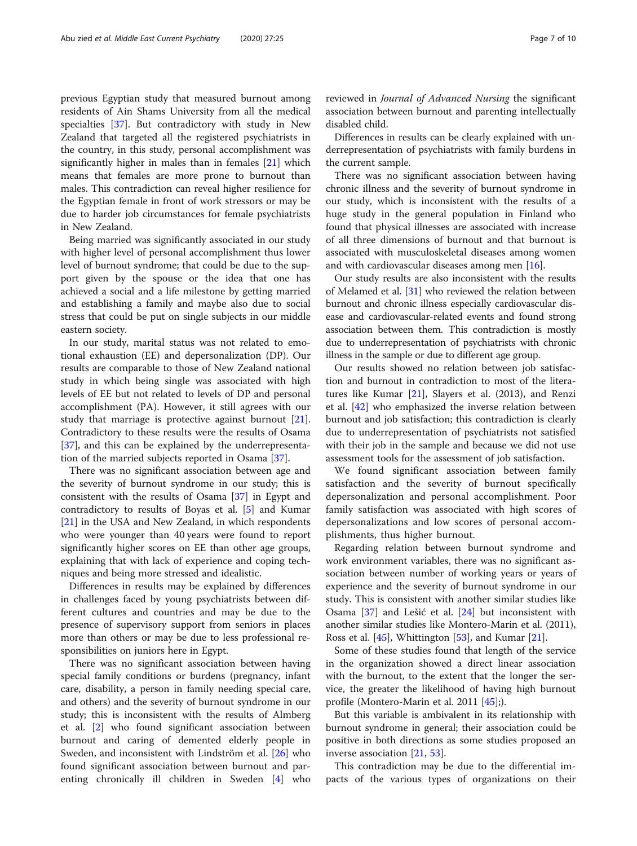previous Egyptian study that measured burnout among residents of Ain Shams University from all the medical specialties [[37](#page-9-0)]. But contradictory with study in New Zealand that targeted all the registered psychiatrists in the country, in this study, personal accomplishment was significantly higher in males than in females [\[21](#page-9-0)] which means that females are more prone to burnout than males. This contradiction can reveal higher resilience for the Egyptian female in front of work stressors or may be due to harder job circumstances for female psychiatrists in New Zealand.

Being married was significantly associated in our study with higher level of personal accomplishment thus lower level of burnout syndrome; that could be due to the support given by the spouse or the idea that one has achieved a social and a life milestone by getting married and establishing a family and maybe also due to social stress that could be put on single subjects in our middle eastern society.

In our study, marital status was not related to emotional exhaustion (EE) and depersonalization (DP). Our results are comparable to those of New Zealand national study in which being single was associated with high levels of EE but not related to levels of DP and personal accomplishment (PA). However, it still agrees with our study that marriage is protective against burnout [\[21](#page-9-0)]. Contradictory to these results were the results of Osama [[37\]](#page-9-0), and this can be explained by the underrepresentation of the married subjects reported in Osama [\[37](#page-9-0)].

There was no significant association between age and the severity of burnout syndrome in our study; this is consistent with the results of Osama [\[37](#page-9-0)] in Egypt and contradictory to results of Boyas et al. [\[5\]](#page-9-0) and Kumar [[21\]](#page-9-0) in the USA and New Zealand, in which respondents who were younger than 40 years were found to report significantly higher scores on EE than other age groups, explaining that with lack of experience and coping techniques and being more stressed and idealistic.

Differences in results may be explained by differences in challenges faced by young psychiatrists between different cultures and countries and may be due to the presence of supervisory support from seniors in places more than others or may be due to less professional responsibilities on juniors here in Egypt.

There was no significant association between having special family conditions or burdens (pregnancy, infant care, disability, a person in family needing special care, and others) and the severity of burnout syndrome in our study; this is inconsistent with the results of Almberg et al. [\[2](#page-9-0)] who found significant association between burnout and caring of demented elderly people in Sweden, and inconsistent with Lindström et al. [\[26\]](#page-9-0) who found significant association between burnout and parenting chronically ill children in Sweden [\[4](#page-9-0)] who

reviewed in Journal of Advanced Nursing the significant association between burnout and parenting intellectually disabled child.

Differences in results can be clearly explained with underrepresentation of psychiatrists with family burdens in the current sample.

There was no significant association between having chronic illness and the severity of burnout syndrome in our study, which is inconsistent with the results of a huge study in the general population in Finland who found that physical illnesses are associated with increase of all three dimensions of burnout and that burnout is associated with musculoskeletal diseases among women and with cardiovascular diseases among men [[16\]](#page-9-0).

Our study results are also inconsistent with the results of Melamed et al. [[31](#page-9-0)] who reviewed the relation between burnout and chronic illness especially cardiovascular disease and cardiovascular-related events and found strong association between them. This contradiction is mostly due to underrepresentation of psychiatrists with chronic illness in the sample or due to different age group.

Our results showed no relation between job satisfaction and burnout in contradiction to most of the literatures like Kumar [[21\]](#page-9-0), Slayers et al. (2013), and Renzi et al. [[42\]](#page-9-0) who emphasized the inverse relation between burnout and job satisfaction; this contradiction is clearly due to underrepresentation of psychiatrists not satisfied with their job in the sample and because we did not use assessment tools for the assessment of job satisfaction.

We found significant association between family satisfaction and the severity of burnout specifically depersonalization and personal accomplishment. Poor family satisfaction was associated with high scores of depersonalizations and low scores of personal accomplishments, thus higher burnout.

Regarding relation between burnout syndrome and work environment variables, there was no significant association between number of working years or years of experience and the severity of burnout syndrome in our study. This is consistent with another similar studies like Osama [[37\]](#page-9-0) and Lešić et al. [[24](#page-9-0)] but inconsistent with another similar studies like Montero-Marin et al. (2011), Ross et al. [\[45\]](#page-9-0), Whittington [[53\]](#page-9-0), and Kumar [\[21\]](#page-9-0).

Some of these studies found that length of the service in the organization showed a direct linear association with the burnout, to the extent that the longer the service, the greater the likelihood of having high burnout profile (Montero-Marin et al. 2011 [\[45](#page-9-0)];).

But this variable is ambivalent in its relationship with burnout syndrome in general; their association could be positive in both directions as some studies proposed an inverse association [\[21](#page-9-0), [53\]](#page-9-0).

This contradiction may be due to the differential impacts of the various types of organizations on their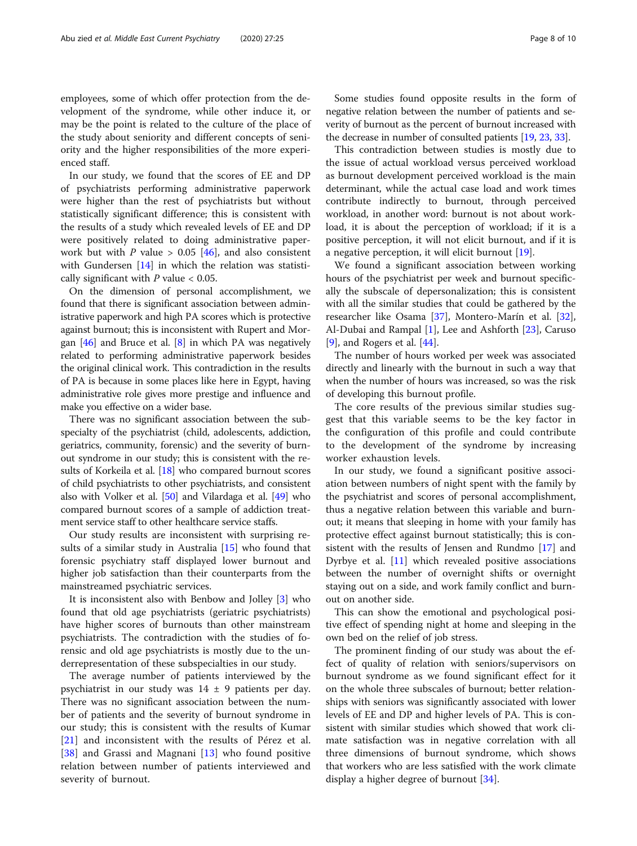employees, some of which offer protection from the development of the syndrome, while other induce it, or may be the point is related to the culture of the place of the study about seniority and different concepts of seniority and the higher responsibilities of the more experienced staff.

In our study, we found that the scores of EE and DP of psychiatrists performing administrative paperwork were higher than the rest of psychiatrists but without statistically significant difference; this is consistent with the results of a study which revealed levels of EE and DP were positively related to doing administrative paperwork but with P value >  $0.05$  [[46](#page-9-0)], and also consistent with Gundersen [[14\]](#page-9-0) in which the relation was statistically significant with  $P$  value  $< 0.05$ .

On the dimension of personal accomplishment, we found that there is significant association between administrative paperwork and high PA scores which is protective against burnout; this is inconsistent with Rupert and Morgan  $[46]$  $[46]$  $[46]$  and Bruce et al.  $[8]$  $[8]$  in which PA was negatively related to performing administrative paperwork besides the original clinical work. This contradiction in the results of PA is because in some places like here in Egypt, having administrative role gives more prestige and influence and make you effective on a wider base.

There was no significant association between the subspecialty of the psychiatrist (child, adolescents, addiction, geriatrics, community, forensic) and the severity of burnout syndrome in our study; this is consistent with the results of Korkeila et al. [\[18\]](#page-9-0) who compared burnout scores of child psychiatrists to other psychiatrists, and consistent also with Volker et al. [\[50\]](#page-9-0) and Vilardaga et al. [\[49\]](#page-9-0) who compared burnout scores of a sample of addiction treatment service staff to other healthcare service staffs.

Our study results are inconsistent with surprising results of a similar study in Australia [[15\]](#page-9-0) who found that forensic psychiatry staff displayed lower burnout and higher job satisfaction than their counterparts from the mainstreamed psychiatric services.

It is inconsistent also with Benbow and Jolley [[3\]](#page-9-0) who found that old age psychiatrists (geriatric psychiatrists) have higher scores of burnouts than other mainstream psychiatrists. The contradiction with the studies of forensic and old age psychiatrists is mostly due to the underrepresentation of these subspecialties in our study.

The average number of patients interviewed by the psychiatrist in our study was  $14 \pm 9$  patients per day. There was no significant association between the number of patients and the severity of burnout syndrome in our study; this is consistent with the results of Kumar [[21\]](#page-9-0) and inconsistent with the results of Pérez et al. [[38\]](#page-9-0) and Grassi and Magnani [[13\]](#page-9-0) who found positive relation between number of patients interviewed and severity of burnout.

Some studies found opposite results in the form of negative relation between the number of patients and severity of burnout as the percent of burnout increased with the decrease in number of consulted patients [\[19,](#page-9-0) [23,](#page-9-0) [33](#page-9-0)].

This contradiction between studies is mostly due to the issue of actual workload versus perceived workload as burnout development perceived workload is the main determinant, while the actual case load and work times contribute indirectly to burnout, through perceived workload, in another word: burnout is not about workload, it is about the perception of workload; if it is a positive perception, it will not elicit burnout, and if it is a negative perception, it will elicit burnout [\[19\]](#page-9-0).

We found a significant association between working hours of the psychiatrist per week and burnout specifically the subscale of depersonalization; this is consistent with all the similar studies that could be gathered by the researcher like Osama [\[37\]](#page-9-0), Montero-Marín et al. [\[32](#page-9-0)], Al-Dubai and Rampal [\[1](#page-8-0)], Lee and Ashforth [\[23](#page-9-0)], Caruso [[9\]](#page-9-0), and Rogers et al. [\[44](#page-9-0)].

The number of hours worked per week was associated directly and linearly with the burnout in such a way that when the number of hours was increased, so was the risk of developing this burnout profile.

The core results of the previous similar studies suggest that this variable seems to be the key factor in the configuration of this profile and could contribute to the development of the syndrome by increasing worker exhaustion levels.

In our study, we found a significant positive association between numbers of night spent with the family by the psychiatrist and scores of personal accomplishment, thus a negative relation between this variable and burnout; it means that sleeping in home with your family has protective effect against burnout statistically; this is consistent with the results of Jensen and Rundmo [[17\]](#page-9-0) and Dyrbye et al. [\[11](#page-9-0)] which revealed positive associations between the number of overnight shifts or overnight staying out on a side, and work family conflict and burnout on another side.

This can show the emotional and psychological positive effect of spending night at home and sleeping in the own bed on the relief of job stress.

The prominent finding of our study was about the effect of quality of relation with seniors/supervisors on burnout syndrome as we found significant effect for it on the whole three subscales of burnout; better relationships with seniors was significantly associated with lower levels of EE and DP and higher levels of PA. This is consistent with similar studies which showed that work climate satisfaction was in negative correlation with all three dimensions of burnout syndrome, which shows that workers who are less satisfied with the work climate display a higher degree of burnout [[34\]](#page-9-0).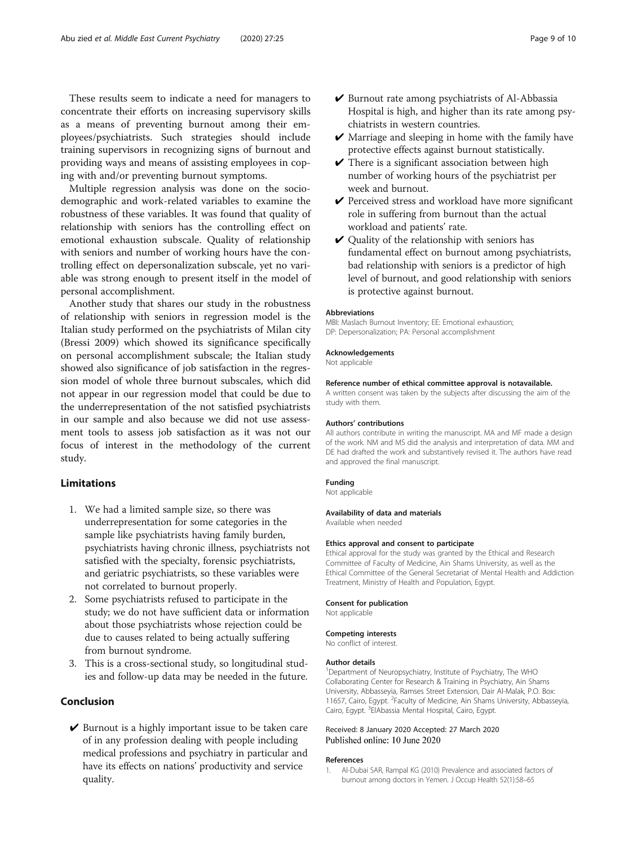<span id="page-8-0"></span>These results seem to indicate a need for managers to concentrate their efforts on increasing supervisory skills as a means of preventing burnout among their employees/psychiatrists. Such strategies should include training supervisors in recognizing signs of burnout and providing ways and means of assisting employees in coping with and/or preventing burnout symptoms.

Multiple regression analysis was done on the sociodemographic and work-related variables to examine the robustness of these variables. It was found that quality of relationship with seniors has the controlling effect on emotional exhaustion subscale. Quality of relationship with seniors and number of working hours have the controlling effect on depersonalization subscale, yet no variable was strong enough to present itself in the model of personal accomplishment.

Another study that shares our study in the robustness of relationship with seniors in regression model is the Italian study performed on the psychiatrists of Milan city (Bressi 2009) which showed its significance specifically on personal accomplishment subscale; the Italian study showed also significance of job satisfaction in the regression model of whole three burnout subscales, which did not appear in our regression model that could be due to the underrepresentation of the not satisfied psychiatrists in our sample and also because we did not use assessment tools to assess job satisfaction as it was not our focus of interest in the methodology of the current study.

## Limitations

- 1. We had a limited sample size, so there was underrepresentation for some categories in the sample like psychiatrists having family burden, psychiatrists having chronic illness, psychiatrists not satisfied with the specialty, forensic psychiatrists, and geriatric psychiatrists, so these variables were not correlated to burnout properly.
- 2. Some psychiatrists refused to participate in the study; we do not have sufficient data or information about those psychiatrists whose rejection could be due to causes related to being actually suffering from burnout syndrome.
- 3. This is a cross-sectional study, so longitudinal studies and follow-up data may be needed in the future.

## Conclusion

 $\vee$  Burnout is a highly important issue to be taken care of in any profession dealing with people including medical professions and psychiatry in particular and have its effects on nations' productivity and service quality.

- $\vee$  Burnout rate among psychiatrists of Al-Abbassia Hospital is high, and higher than its rate among psychiatrists in western countries.
- $\vee$  Marriage and sleeping in home with the family have protective effects against burnout statistically.
- $\vee$  There is a significant association between high number of working hours of the psychiatrist per week and burnout.
- $\vee$  Perceived stress and workload have more significant role in suffering from burnout than the actual workload and patients' rate.
- $\vee$  Quality of the relationship with seniors has fundamental effect on burnout among psychiatrists, bad relationship with seniors is a predictor of high level of burnout, and good relationship with seniors is protective against burnout.

#### Abbreviations

MBI: Maslach Burnout Inventory; EE: Emotional exhaustion; DP: Depersonalization; PA: Personal accomplishment

#### Acknowledgements

Not applicable

#### Reference number of ethical committee approval is notavailable.

A written consent was taken by the subjects after discussing the aim of the study with them.

#### Authors' contributions

All authors contribute in writing the manuscript. MA and MF made a design of the work. NM and MS did the analysis and interpretation of data. MM and DE had drafted the work and substantively revised it. The authors have read and approved the final manuscript.

#### Funding

Not applicable

## Availability of data and materials

Available when needed

#### Ethics approval and consent to participate

Ethical approval for the study was granted by the Ethical and Research Committee of Faculty of Medicine, Ain Shams University, as well as the Ethical Committee of the General Secretariat of Mental Health and Addiction Treatment, Ministry of Health and Population, Egypt.

#### Consent for publication

Not applicable

## Competing interests

No conflict of interest.

#### Author details

<sup>1</sup>Department of Neuropsychiatry, Institute of Psychiatry, The WHO Collaborating Center for Research & Training in Psychiatry, Ain Shams University, Abbasseyia, Ramses Street Extension, Dair Al-Malak, P.O. Box: 11657, Cairo, Egypt. <sup>2</sup> Faculty of Medicine, Ain Shams University, Abbasseyia, Cairo, Egypt. <sup>3</sup> ElAbassia Mental Hospital, Cairo, Egypt.

#### Received: 8 January 2020 Accepted: 27 March 2020 Published online: 10 June 2020

#### References

1. Al-Dubai SAR, Rampal KG (2010) Prevalence and associated factors of burnout among doctors in Yemen. J Occup Health 52(1):58–65